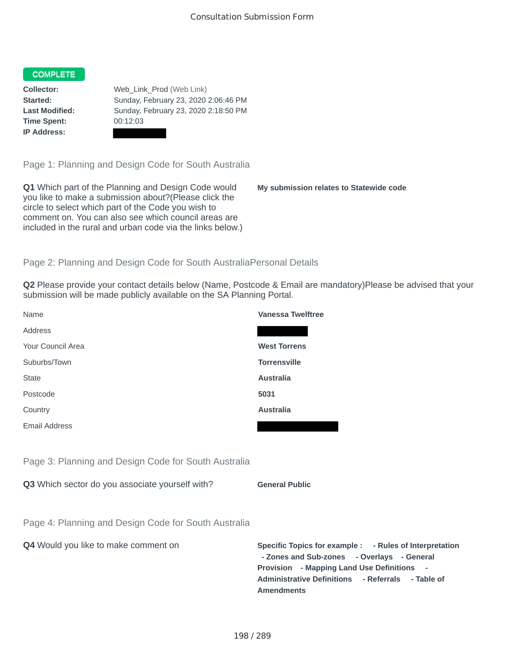## **COMPLETE**

**Time Spent:** 00:12:03 **IP Address:**

**Collector:** Web\_Link\_Prod (Web Link) **Started:** Sunday, February 23, 2020 2:06:46 PM **Last Modified:** Sunday, February 23, 2020 2:18:50 PM

Page 1: Planning and Design Code for South Australia

**Q1** Which part of the Planning and Design Code would you like to make a submission about?(Please click the circle to select which part of the Code you wish to comment on. You can also see which council areas are included in the rural and urban code via the links below.)

**My submission relates to Statewide code**

**Rules of Interpretation** 

## Page 2: Planning and Design Code for South AustraliaPersonal Details

**Q2** Please provide your contact details below (Name, Postcode & Email are mandatory)Please be advised that your submission will be made publicly available on the SA Planning Portal.

| Name                                                 | <b>Vanessa Twelftree</b>                                                                                                                                                                                                                                      |
|------------------------------------------------------|---------------------------------------------------------------------------------------------------------------------------------------------------------------------------------------------------------------------------------------------------------------|
| Address                                              |                                                                                                                                                                                                                                                               |
| Your Council Area                                    | <b>West Torrens</b>                                                                                                                                                                                                                                           |
| Suburbs/Town                                         | <b>Torrensville</b>                                                                                                                                                                                                                                           |
| <b>State</b>                                         | <b>Australia</b>                                                                                                                                                                                                                                              |
| Postcode                                             | 5031                                                                                                                                                                                                                                                          |
| Country                                              | <b>Australia</b>                                                                                                                                                                                                                                              |
| <b>Email Address</b>                                 |                                                                                                                                                                                                                                                               |
|                                                      |                                                                                                                                                                                                                                                               |
| Page 3: Planning and Design Code for South Australia |                                                                                                                                                                                                                                                               |
| Q3 Which sector do you associate yourself with?      | <b>General Public</b>                                                                                                                                                                                                                                         |
|                                                      |                                                                                                                                                                                                                                                               |
| Page 4: Planning and Design Code for South Australia |                                                                                                                                                                                                                                                               |
| Q4 Would you like to make comment on                 | Specific Topics for example : - Rules of Interpreta<br>- Zones and Sub-zones - Overlays - General<br><b>Provision</b> - Mapping Land Use Definitions<br>$\blacksquare$<br><b>Administrative Definitions</b><br>- Referrals<br>- Table of<br><b>Amendments</b> |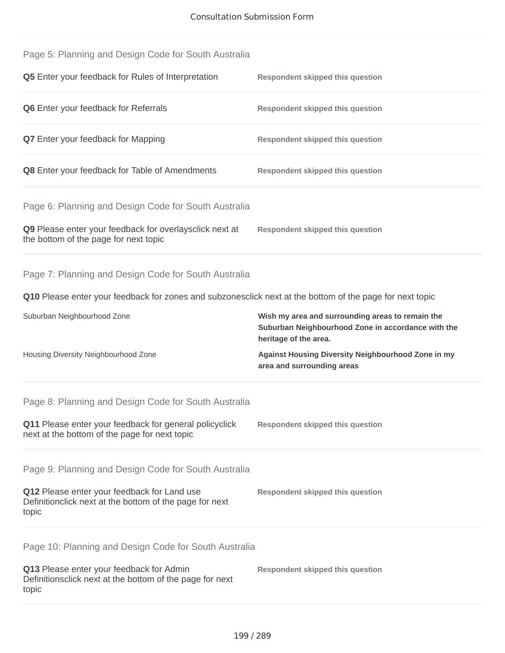| Page 5: Planning and Design Code for South Australia                                                            |                                                                                                                                 |
|-----------------------------------------------------------------------------------------------------------------|---------------------------------------------------------------------------------------------------------------------------------|
| Q5 Enter your feedback for Rules of Interpretation                                                              | <b>Respondent skipped this question</b>                                                                                         |
| Q6 Enter your feedback for Referrals                                                                            | <b>Respondent skipped this question</b>                                                                                         |
| <b>Q7</b> Enter your feedback for Mapping                                                                       | <b>Respondent skipped this question</b>                                                                                         |
| Q8 Enter your feedback for Table of Amendments                                                                  | <b>Respondent skipped this question</b>                                                                                         |
| Page 6: Planning and Design Code for South Australia                                                            |                                                                                                                                 |
| Q9 Please enter your feedback for overlaysclick next at<br>the bottom of the page for next topic                | <b>Respondent skipped this question</b>                                                                                         |
| Page 7: Planning and Design Code for South Australia                                                            |                                                                                                                                 |
| Q10 Please enter your feedback for zones and subzonesclick next at the bottom of the page for next topic        |                                                                                                                                 |
| Suburban Neighbourhood Zone                                                                                     | Wish my area and surrounding areas to remain the<br>Suburban Neighbourhood Zone in accordance with the<br>heritage of the area. |
| Housing Diversity Neighbourhood Zone                                                                            | Against Housing Diversity Neighbourhood Zone in my<br>area and surrounding areas                                                |
| Page 8: Planning and Design Code for South Australia                                                            |                                                                                                                                 |
| Q11 Please enter your feedback for general policyclick<br>next at the bottom of the page for next topic         | <b>Respondent skipped this question</b>                                                                                         |
| Page 9: Planning and Design Code for South Australia                                                            |                                                                                                                                 |
| Q12 Please enter your feedback for Land use<br>Definitionclick next at the bottom of the page for next<br>topic | <b>Respondent skipped this question</b>                                                                                         |
| Page 10: Planning and Design Code for South Australia                                                           |                                                                                                                                 |
| Q13 Please enter your feedback for Admin<br>Definitionsclick next at the bottom of the page for next            | <b>Respondent skipped this question</b>                                                                                         |